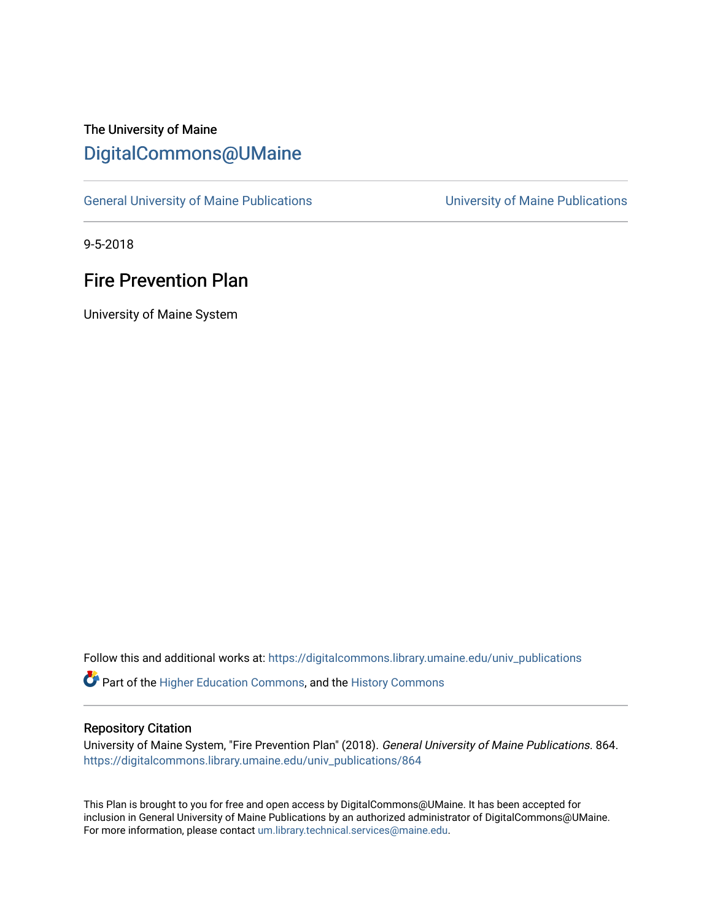# The University of Maine [DigitalCommons@UMaine](https://digitalcommons.library.umaine.edu/)

[General University of Maine Publications](https://digitalcommons.library.umaine.edu/univ_publications) [University of Maine Publications](https://digitalcommons.library.umaine.edu/umaine_publications) 

9-5-2018

## Fire Prevention Plan

University of Maine System

Follow this and additional works at: [https://digitalcommons.library.umaine.edu/univ\\_publications](https://digitalcommons.library.umaine.edu/univ_publications?utm_source=digitalcommons.library.umaine.edu%2Funiv_publications%2F864&utm_medium=PDF&utm_campaign=PDFCoverPages) 

Part of the [Higher Education Commons,](http://network.bepress.com/hgg/discipline/1245?utm_source=digitalcommons.library.umaine.edu%2Funiv_publications%2F864&utm_medium=PDF&utm_campaign=PDFCoverPages) and the [History Commons](http://network.bepress.com/hgg/discipline/489?utm_source=digitalcommons.library.umaine.edu%2Funiv_publications%2F864&utm_medium=PDF&utm_campaign=PDFCoverPages)

### Repository Citation

University of Maine System, "Fire Prevention Plan" (2018). General University of Maine Publications. 864. [https://digitalcommons.library.umaine.edu/univ\\_publications/864](https://digitalcommons.library.umaine.edu/univ_publications/864?utm_source=digitalcommons.library.umaine.edu%2Funiv_publications%2F864&utm_medium=PDF&utm_campaign=PDFCoverPages) 

This Plan is brought to you for free and open access by DigitalCommons@UMaine. It has been accepted for inclusion in General University of Maine Publications by an authorized administrator of DigitalCommons@UMaine. For more information, please contact [um.library.technical.services@maine.edu](mailto:um.library.technical.services@maine.edu).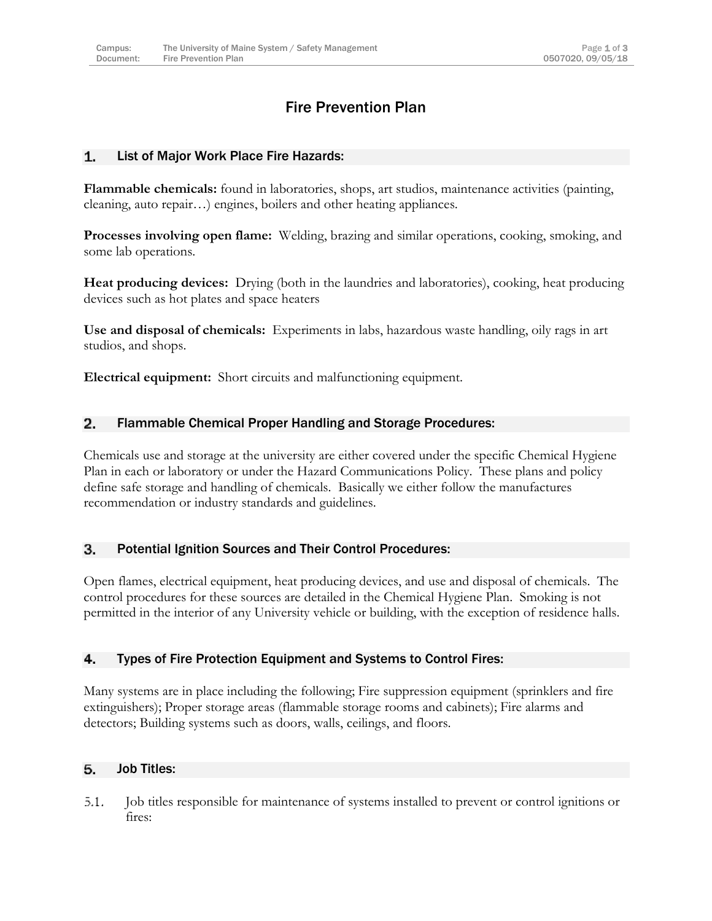### Fire Prevention Plan

#### List of Major Work Place Fire Hazards: 1.

**Flammable chemicals:** found in laboratories, shops, art studios, maintenance activities (painting, cleaning, auto repair…) engines, boilers and other heating appliances.

**Processes involving open flame:** Welding, brazing and similar operations, cooking, smoking, and some lab operations.

**Heat producing devices:** Drying (both in the laundries and laboratories), cooking, heat producing devices such as hot plates and space heaters

**Use and disposal of chemicals:** Experiments in labs, hazardous waste handling, oily rags in art studios, and shops.

**Electrical equipment:** Short circuits and malfunctioning equipment.

#### $2.$ Flammable Chemical Proper Handling and Storage Procedures:

Chemicals use and storage at the university are either covered under the specific Chemical Hygiene Plan in each or laboratory or under the Hazard Communications Policy. These plans and policy define safe storage and handling of chemicals. Basically we either follow the manufactures recommendation or industry standards and guidelines.

#### 3. Potential Ignition Sources and Their Control Procedures:

Open flames, electrical equipment, heat producing devices, and use and disposal of chemicals. The control procedures for these sources are detailed in the Chemical Hygiene Plan. Smoking is not permitted in the interior of any University vehicle or building, with the exception of residence halls.

#### 4. Types of Fire Protection Equipment and Systems to Control Fires:

Many systems are in place including the following; Fire suppression equipment (sprinklers and fire extinguishers); Proper storage areas (flammable storage rooms and cabinets); Fire alarms and detectors; Building systems such as doors, walls, ceilings, and floors.

#### Job Titles: 5.

 $5.1.$ Job titles responsible for maintenance of systems installed to prevent or control ignitions or fires: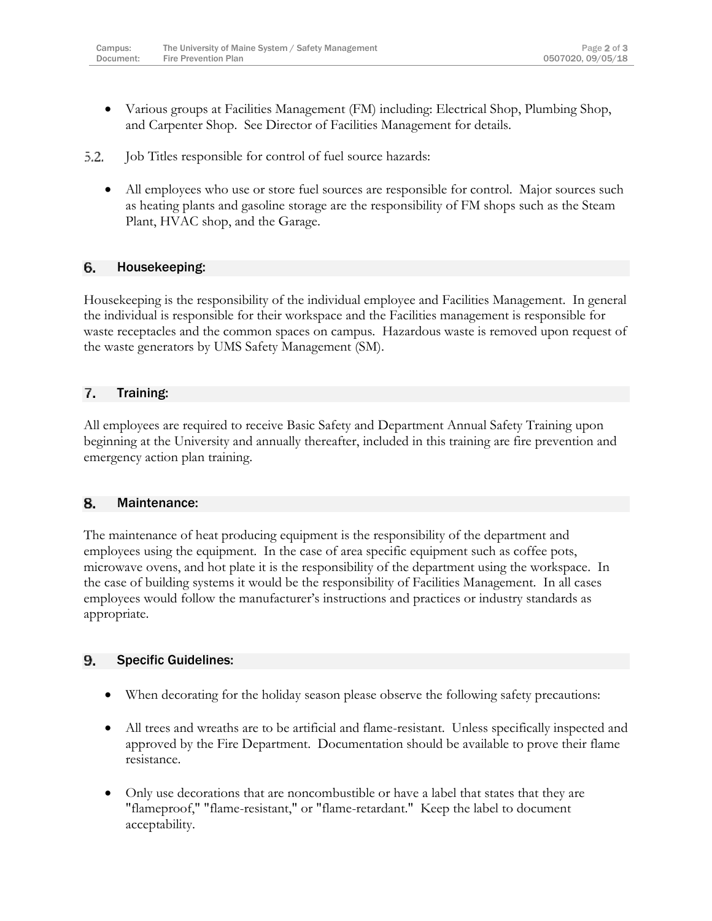- Various groups at Facilities Management (FM) including: Electrical Shop, Plumbing Shop, and Carpenter Shop. See Director of Facilities Management for details.
- 5.2. Job Titles responsible for control of fuel source hazards:
	- All employees who use or store fuel sources are responsible for control. Major sources such as heating plants and gasoline storage are the responsibility of FM shops such as the Steam Plant, HVAC shop, and the Garage.

#### 6. Housekeeping:

Housekeeping is the responsibility of the individual employee and Facilities Management. In general the individual is responsible for their workspace and the Facilities management is responsible for waste receptacles and the common spaces on campus. Hazardous waste is removed upon request of the waste generators by UMS Safety Management (SM).

#### 7. Training:

All employees are required to receive Basic Safety and Department Annual Safety Training upon beginning at the University and annually thereafter, included in this training are fire prevention and emergency action plan training.

#### 8. Maintenance:

The maintenance of heat producing equipment is the responsibility of the department and employees using the equipment. In the case of area specific equipment such as coffee pots, microwave ovens, and hot plate it is the responsibility of the department using the workspace. In the case of building systems it would be the responsibility of Facilities Management. In all cases employees would follow the manufacturer's instructions and practices or industry standards as appropriate.

#### Specific Guidelines: 9.

- When decorating for the holiday season please observe the following safety precautions:
- All trees and wreaths are to be artificial and flame-resistant. Unless specifically inspected and approved by the Fire Department. Documentation should be available to prove their flame resistance.
- Only use decorations that are noncombustible or have a label that states that they are "flameproof," "flame-resistant," or "flame-retardant." Keep the label to document acceptability.